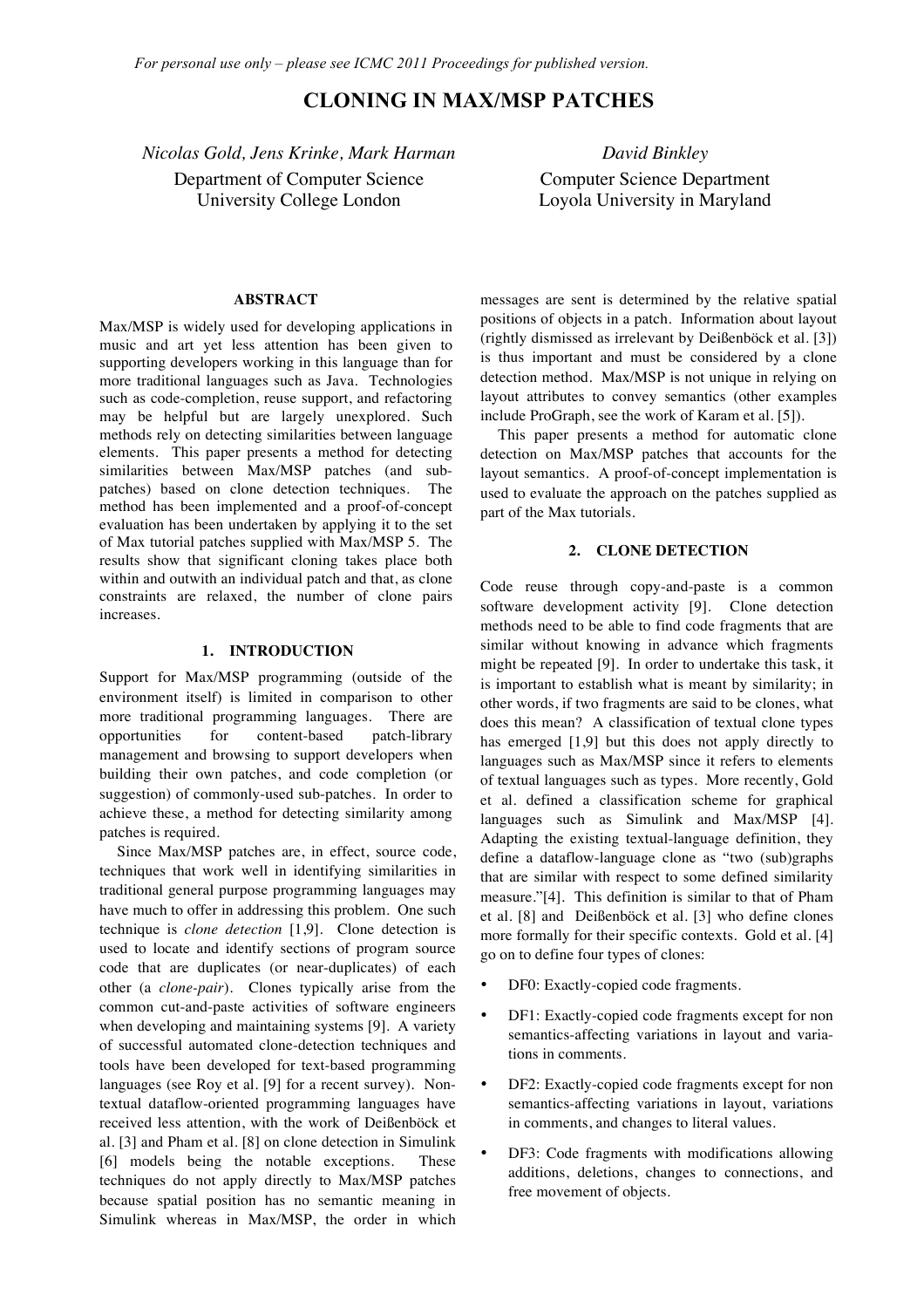# **CLONING IN MAX/MSP PATCHES**

*Nicolas Gold, Jens Krinke, Mark Harman David Binkley* Department of Computer Science University College London

Computer Science Department Loyola University in Maryland

#### **ABSTRACT**

Max/MSP is widely used for developing applications in music and art yet less attention has been given to supporting developers working in this language than for more traditional languages such as Java. Technologies such as code-completion, reuse support, and refactoring may be helpful but are largely unexplored. Such methods rely on detecting similarities between language elements. This paper presents a method for detecting similarities between Max/MSP patches (and subpatches) based on clone detection techniques. The method has been implemented and a proof-of-concept evaluation has been undertaken by applying it to the set of Max tutorial patches supplied with Max/MSP 5. The results show that significant cloning takes place both within and outwith an individual patch and that, as clone constraints are relaxed, the number of clone pairs increases.

### **1. INTRODUCTION**

Support for Max/MSP programming (outside of the environment itself) is limited in comparison to other more traditional programming languages. There are opportunities for content-based patch-library management and browsing to support developers when building their own patches, and code completion (or suggestion) of commonly-used sub-patches. In order to achieve these, a method for detecting similarity among patches is required.

Since Max/MSP patches are, in effect, source code, techniques that work well in identifying similarities in traditional general purpose programming languages may have much to offer in addressing this problem. One such technique is *clone detection* [1,9]. Clone detection is used to locate and identify sections of program source code that are duplicates (or near-duplicates) of each other (a *clone-pair*). Clones typically arise from the common cut-and-paste activities of software engineers when developing and maintaining systems [9]. A variety of successful automated clone-detection techniques and tools have been developed for text-based programming languages (see Roy et al. [9] for a recent survey). Nontextual dataflow-oriented programming languages have received less attention, with the work of Deißenböck et al. [3] and Pham et al. [8] on clone detection in Simulink [6] models being the notable exceptions. These techniques do not apply directly to Max/MSP patches because spatial position has no semantic meaning in Simulink whereas in Max/MSP, the order in which

messages are sent is determined by the relative spatial positions of objects in a patch. Information about layout (rightly dismissed as irrelevant by Deißenböck et al. [3]) is thus important and must be considered by a clone detection method. Max/MSP is not unique in relying on layout attributes to convey semantics (other examples include ProGraph, see the work of Karam et al. [5]).

This paper presents a method for automatic clone detection on Max/MSP patches that accounts for the layout semantics. A proof-of-concept implementation is used to evaluate the approach on the patches supplied as part of the Max tutorials.

#### **2. CLONE DETECTION**

Code reuse through copy-and-paste is a common software development activity [9]. Clone detection methods need to be able to find code fragments that are similar without knowing in advance which fragments might be repeated [9]. In order to undertake this task, it is important to establish what is meant by similarity; in other words, if two fragments are said to be clones, what does this mean? A classification of textual clone types has emerged [1,9] but this does not apply directly to languages such as Max/MSP since it refers to elements of textual languages such as types. More recently, Gold et al. defined a classification scheme for graphical languages such as Simulink and Max/MSP [4]. Adapting the existing textual-language definition, they define a dataflow-language clone as "two (sub)graphs that are similar with respect to some defined similarity measure."[4]. This definition is similar to that of Pham et al. [8] and Deißenböck et al. [3] who define clones more formally for their specific contexts. Gold et al. [4] go on to define four types of clones:

- DF0: Exactly-copied code fragments.
- DF1: Exactly-copied code fragments except for non semantics-affecting variations in layout and variations in comments.
- DF2: Exactly-copied code fragments except for non semantics-affecting variations in layout, variations in comments, and changes to literal values.
- DF3: Code fragments with modifications allowing additions, deletions, changes to connections, and free movement of objects.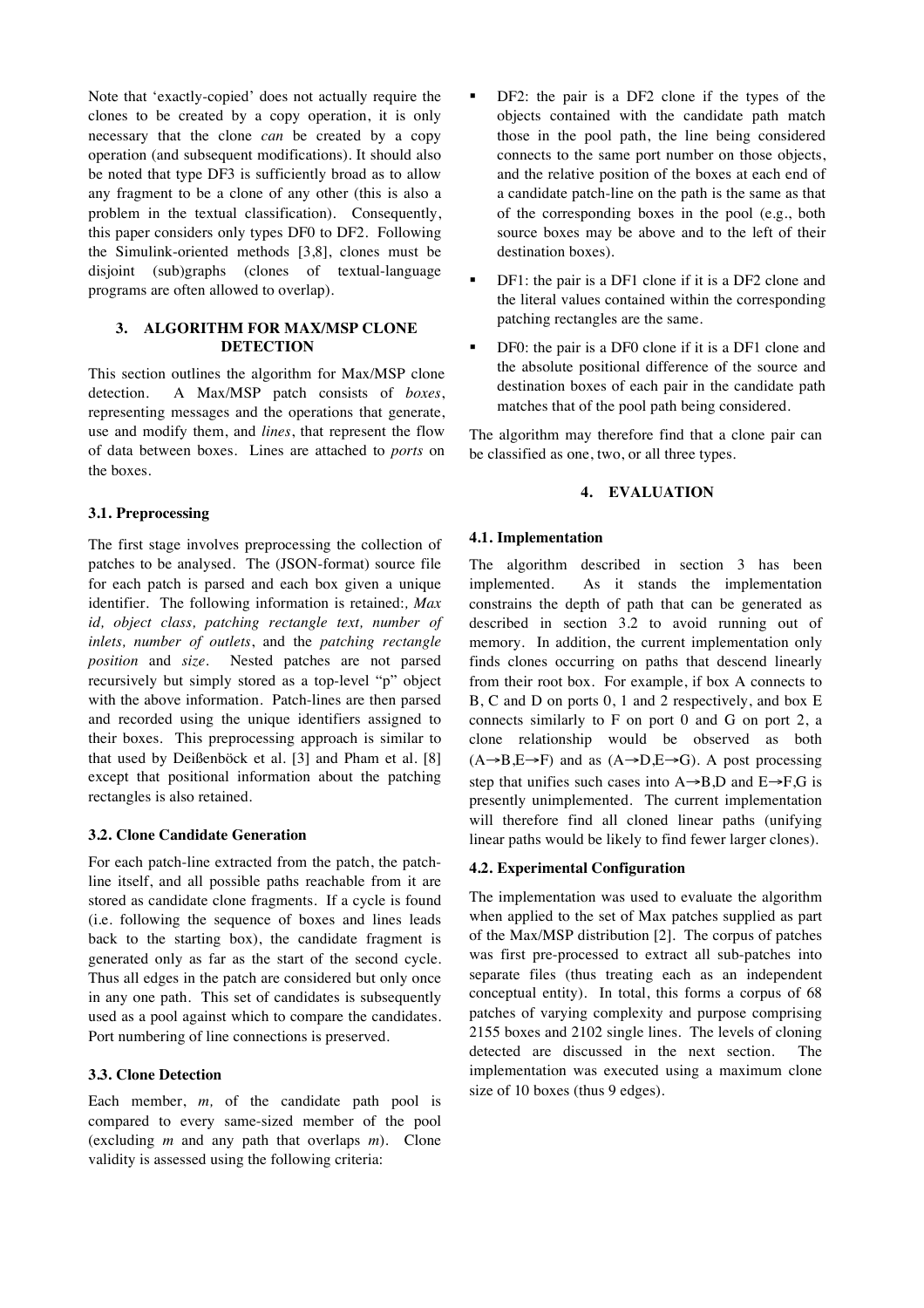Note that 'exactly-copied' does not actually require the clones to be created by a copy operation, it is only necessary that the clone *can* be created by a copy operation (and subsequent modifications). It should also be noted that type DF3 is sufficiently broad as to allow any fragment to be a clone of any other (this is also a problem in the textual classification). Consequently, this paper considers only types DF0 to DF2. Following the Simulink-oriented methods [3,8], clones must be disjoint (sub)graphs (clones of textual-language programs are often allowed to overlap).

# **3. ALGORITHM FOR MAX/MSP CLONE DETECTION**

This section outlines the algorithm for Max/MSP clone detection. A Max/MSP patch consists of *boxes*, representing messages and the operations that generate, use and modify them, and *lines*, that represent the flow of data between boxes. Lines are attached to *ports* on the boxes.

#### **3.1. Preprocessing**

The first stage involves preprocessing the collection of patches to be analysed. The (JSON-format) source file for each patch is parsed and each box given a unique identifier. The following information is retained:*, Max id, object class, patching rectangle text, number of inlets, number of outlets*, and the *patching rectangle position* and *size.* Nested patches are not parsed recursively but simply stored as a top-level "p" object with the above information. Patch-lines are then parsed and recorded using the unique identifiers assigned to their boxes. This preprocessing approach is similar to that used by Deißenböck et al. [3] and Pham et al. [8] except that positional information about the patching rectangles is also retained.

#### **3.2. Clone Candidate Generation**

For each patch-line extracted from the patch, the patchline itself, and all possible paths reachable from it are stored as candidate clone fragments. If a cycle is found (i.e. following the sequence of boxes and lines leads back to the starting box), the candidate fragment is generated only as far as the start of the second cycle. Thus all edges in the patch are considered but only once in any one path. This set of candidates is subsequently used as a pool against which to compare the candidates. Port numbering of line connections is preserved.

## **3.3. Clone Detection**

Each member, *m,* of the candidate path pool is compared to every same-sized member of the pool (excluding *m* and any path that overlaps *m*). Clone validity is assessed using the following criteria:

- DF2: the pair is a DF2 clone if the types of the objects contained with the candidate path match those in the pool path, the line being considered connects to the same port number on those objects, and the relative position of the boxes at each end of a candidate patch-line on the path is the same as that of the corresponding boxes in the pool (e.g., both source boxes may be above and to the left of their destination boxes).
- DF1: the pair is a DF1 clone if it is a DF2 clone and the literal values contained within the corresponding patching rectangles are the same.
- DF0: the pair is a DF0 clone if it is a DF1 clone and the absolute positional difference of the source and destination boxes of each pair in the candidate path matches that of the pool path being considered.

The algorithm may therefore find that a clone pair can be classified as one, two, or all three types.

## **4. EVALUATION**

# **4.1. Implementation**

The algorithm described in section 3 has been implemented. As it stands the implementation constrains the depth of path that can be generated as described in section 3.2 to avoid running out of memory. In addition, the current implementation only finds clones occurring on paths that descend linearly from their root box. For example, if box A connects to B, C and D on ports 0, 1 and 2 respectively, and box E connects similarly to F on port 0 and G on port 2, a clone relationship would be observed as both  $(A\rightarrow B,E\rightarrow F)$  and as  $(A\rightarrow D,E\rightarrow G)$ . A post processing step that unifies such cases into  $A \rightarrow B.D$  and  $E \rightarrow F.G$  is presently unimplemented. The current implementation will therefore find all cloned linear paths (unifying linear paths would be likely to find fewer larger clones).

#### **4.2. Experimental Configuration**

The implementation was used to evaluate the algorithm when applied to the set of Max patches supplied as part of the Max/MSP distribution [2]. The corpus of patches was first pre-processed to extract all sub-patches into separate files (thus treating each as an independent conceptual entity). In total, this forms a corpus of 68 patches of varying complexity and purpose comprising 2155 boxes and 2102 single lines. The levels of cloning detected are discussed in the next section. The implementation was executed using a maximum clone size of 10 boxes (thus 9 edges).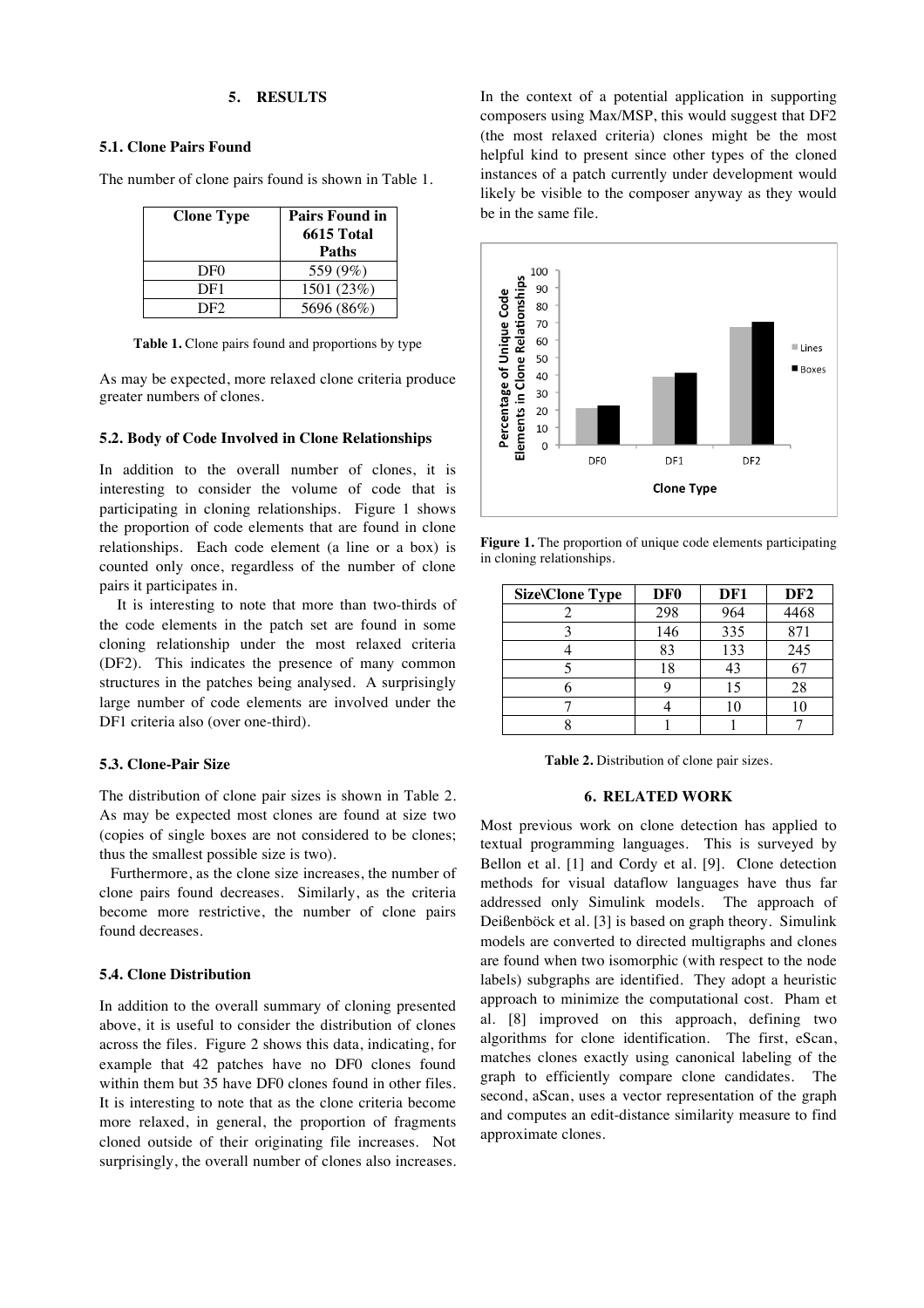## **5. RESULTS**

#### **5.1. Clone Pairs Found**

The number of clone pairs found is shown in Table 1.

| <b>Clone Type</b> | <b>Pairs Found in</b><br><b>6615 Total</b><br>Paths |
|-------------------|-----------------------------------------------------|
| DF <sub>0</sub>   | 559 (9%)                                            |
| DF1               | 1501 (23%)                                          |
| DF2.              | 5696 (86%)                                          |

Table 1. Clone pairs found and proportions by type

As may be expected, more relaxed clone criteria produce greater numbers of clones.

#### **5.2. Body of Code Involved in Clone Relationships**

In addition to the overall number of clones, it is interesting to consider the volume of code that is participating in cloning relationships. Figure 1 shows the proportion of code elements that are found in clone relationships. Each code element (a line or a box) is counted only once, regardless of the number of clone pairs it participates in.

It is interesting to note that more than two-thirds of the code elements in the patch set are found in some cloning relationship under the most relaxed criteria (DF2). This indicates the presence of many common structures in the patches being analysed. A surprisingly large number of code elements are involved under the DF1 criteria also (over one-third).

# **5.3. Clone-Pair Size**

The distribution of clone pair sizes is shown in Table 2. As may be expected most clones are found at size two (copies of single boxes are not considered to be clones; thus the smallest possible size is two).

Furthermore, as the clone size increases, the number of clone pairs found decreases. Similarly, as the criteria become more restrictive, the number of clone pairs found decreases.

#### **5.4. Clone Distribution**

In addition to the overall summary of cloning presented above, it is useful to consider the distribution of clones across the files. Figure 2 shows this data, indicating, for example that 42 patches have no DF0 clones found within them but 35 have DF0 clones found in other files. It is interesting to note that as the clone criteria become more relaxed, in general, the proportion of fragments cloned outside of their originating file increases. Not surprisingly, the overall number of clones also increases. In the context of a potential application in supporting composers using Max/MSP, this would suggest that DF2 (the most relaxed criteria) clones might be the most helpful kind to present since other types of the cloned instances of a patch currently under development would likely be visible to the composer anyway as they would be in the same file.



**Figure 1.** The proportion of unique code elements participating in cloning relationships.

| <b>Size\Clone Type</b> | DF <sub>0</sub> | DF1 | DF <sub>2</sub> |
|------------------------|-----------------|-----|-----------------|
|                        | 298             | 964 | 4468            |
|                        | 146             | 335 | 871             |
|                        | 83              | 133 | 245             |
|                        | 18              | 43  |                 |
|                        |                 |     | 28              |
|                        |                 |     |                 |
|                        |                 |     |                 |

**Table 2.** Distribution of clone pair sizes.

### **6. RELATED WORK**

Most previous work on clone detection has applied to textual programming languages. This is surveyed by Bellon et al. [1] and Cordy et al. [9]. Clone detection methods for visual dataflow languages have thus far addressed only Simulink models. The approach of Deißenböck et al. [3] is based on graph theory. Simulink models are converted to directed multigraphs and clones are found when two isomorphic (with respect to the node labels) subgraphs are identified. They adopt a heuristic approach to minimize the computational cost. Pham et al. [8] improved on this approach, defining two algorithms for clone identification. The first, eScan, matches clones exactly using canonical labeling of the graph to efficiently compare clone candidates. The second, aScan, uses a vector representation of the graph and computes an edit-distance similarity measure to find approximate clones.